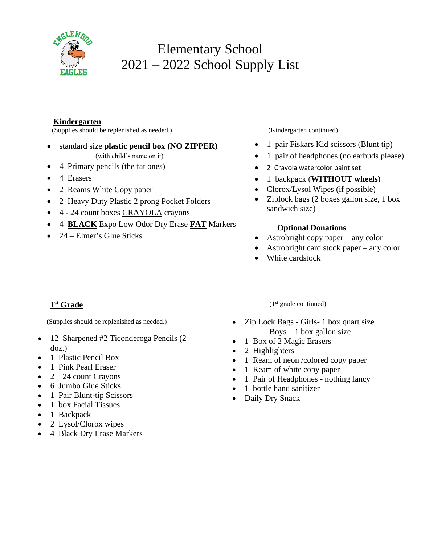

# Elementary School 2021 – 2022 School Supply List

## **Kindergarten**

(Supplies should be replenished as needed.) (Kindergarten continued)

• standard size **plastic pencil box (NO ZIPPER)**

(with child's name on it)

- 4 Primary pencils (the fat ones)
- 4 Erasers
- 2 Reams White Copy paper
- 2 Heavy Duty Plastic 2 prong Pocket Folders
- 4 24 count boxes CRAYOLA crayons
- 4 **BLACK** Expo Low Odor Dry Erase **FAT** Markers
- 24 Elmer's Glue Sticks

- 1 pair Fiskars Kid scissors (Blunt tip)
- 1 pair of headphones (no earbuds please)
- 2 Crayola watercolor paint set
- 1 backpack (**WITHOUT wheels**)
- Clorox/Lysol Wipes (if possible)
- Ziplock bags (2 boxes gallon size, 1 box sandwich size)

## **Optional Donations**

- Astrobright copy paper any color
- Astrobright card stock paper any color
- White cardstock

## **1 st Grade**

 **(**Supplies should be replenished as needed.)

- 12 Sharpened #2 Ticonderoga Pencils (2) doz.)
- 1 Plastic Pencil Box
- 1 Pink Pearl Eraser
- $2 24$  count Crayons
- 6 Jumbo Glue Sticks
- 1 Pair Blunt-tip Scissors
- 1 box Facial Tissues
- 1 Backpack
- 2 Lysol/Clorox wipes
- 4 Black Dry Erase Markers

 $(1<sup>st</sup> grade continued)$ 

- Zip Lock Bags Girls- 1 box quart size  $Boys - 1$  box gallon size
- 1 Box of 2 Magic Erasers
- 2 Highlighters
- 1 Ream of neon /colored copy paper
- 1 Ream of white copy paper
- 1 Pair of Headphones nothing fancy
- 1 bottle hand sanitizer
- Daily Dry Snack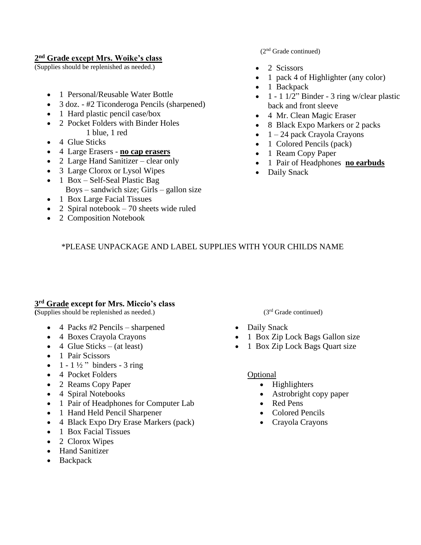#### **2 nd Grade except Mrs. Woike's class**

(Supplies should be replenished as needed.)

- 1 Personal/Reusable Water Bottle
- 3 doz. #2 Ticonderoga Pencils (sharpened)
- 1 Hard plastic pencil case/box
- 2 Pocket Folders with Binder Holes 1 blue, 1 red
- 4 Glue Sticks
- 4 Large Erasers **no cap erasers**
- 2 Large Hand Sanitizer clear only
- 3 Large Clorox or Lysol Wipes
- 1 Box Self-Seal Plastic Bag
	- Boys sandwich size; Girls gallon size
- 1 Box Large Facial Tissues
- 2 Spiral notebook  $-70$  sheets wide ruled
- 2 Composition Notebook

#### (2nd Grade continued)

- 2 Scissors
- 1 pack 4 of Highlighter (any color)
- 1 Backpack
- 1 1 1/2" Binder 3 ring w/clear plastic back and front sleeve
- 4 Mr. Clean Magic Eraser
- 8 Black Expo Markers or 2 packs
- $\bullet$  1 24 pack Crayola Crayons
- 1 Colored Pencils (pack)
- 1 Ream Copy Paper
- 1 Pair of Headphones **no earbuds**
- Daily Snack

## \*PLEASE UNPACKAGE AND LABEL SUPPLIES WITH YOUR CHILDS NAME

## **3 rd Grade except for Mrs. Miccio's class**

 $(Supplies should be replenished as needed.)$   $(3<sup>rd</sup> Grade continued)$ 

- 4 Packs #2 Pencils sharpened
- 4 Boxes Crayola Crayons
- 4 Glue Sticks (at least)
- 1 Pair Scissors
- $1 1\frac{1}{2}$  binders 3 ring
- 4 Pocket Folders
- 2 Reams Copy Paper
- 4 Spiral Notebooks
- 1 Pair of Headphones for Computer Lab
- 1 Hand Held Pencil Sharpener
- 4 Black Expo Dry Erase Markers (pack)
- 1 Box Facial Tissues
- 2 Clorox Wipes
- Hand Sanitizer
- Backpack

- Daily Snack
- 1 Box Zip Lock Bags Gallon size
- 1 Box Zip Lock Bags Quart size

#### Optional

- Highlighters
- Astrobright copy paper
- Red Pens
- Colored Pencils
- Crayola Crayons